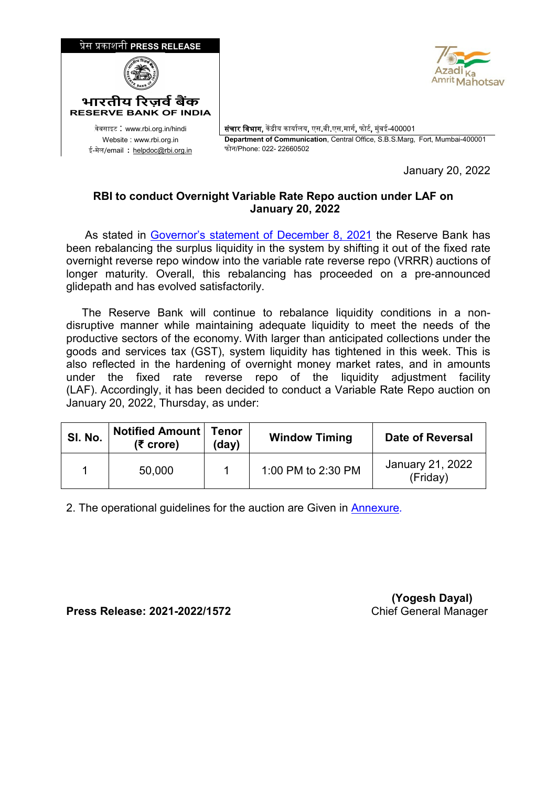

January 20, 2022

## **RBI to conduct Overnight Variable Rate Repo auction under LAF on January 20, 2022**

 As stated in [Governor's statement of December 8, 2021](https://www.rbi.org.in/Scripts/BS_PressReleaseDisplay.aspx?prid=52686) the Reserve Bank has been rebalancing the surplus liquidity in the system by shifting it out of the fixed rate overnight reverse repo window into the variable rate reverse repo (VRRR) auctions of longer maturity. Overall, this rebalancing has proceeded on a pre-announced glidepath and has evolved satisfactorily.

 The Reserve Bank will continue to rebalance liquidity conditions in a nondisruptive manner while maintaining adequate liquidity to meet the needs of the productive sectors of the economy. With larger than anticipated collections under the goods and services tax (GST), system liquidity has tightened in this week. This is also reflected in the hardening of overnight money market rates, and in amounts under the fixed rate reverse repo of the liquidity adjustment facility (LAF). Accordingly, it has been decided to conduct a Variable Rate Repo auction on January 20, 2022, Thursday, as under:

| SI. No. | <b>Notified Amount   Tenor</b><br>$(5$ crore) | (day) | <b>Window Timing</b> | Date of Reversal             |
|---------|-----------------------------------------------|-------|----------------------|------------------------------|
|         | 50,000                                        |       | 1:00 PM to 2:30 PM   | January 21, 2022<br>(Friday) |

2. The operational guidelines for the auction are Given in [Annexure](#page-1-0)*.*

**Press Release: 2021-2022/1572** Chief General Manager

 **(Yogesh Dayal)**